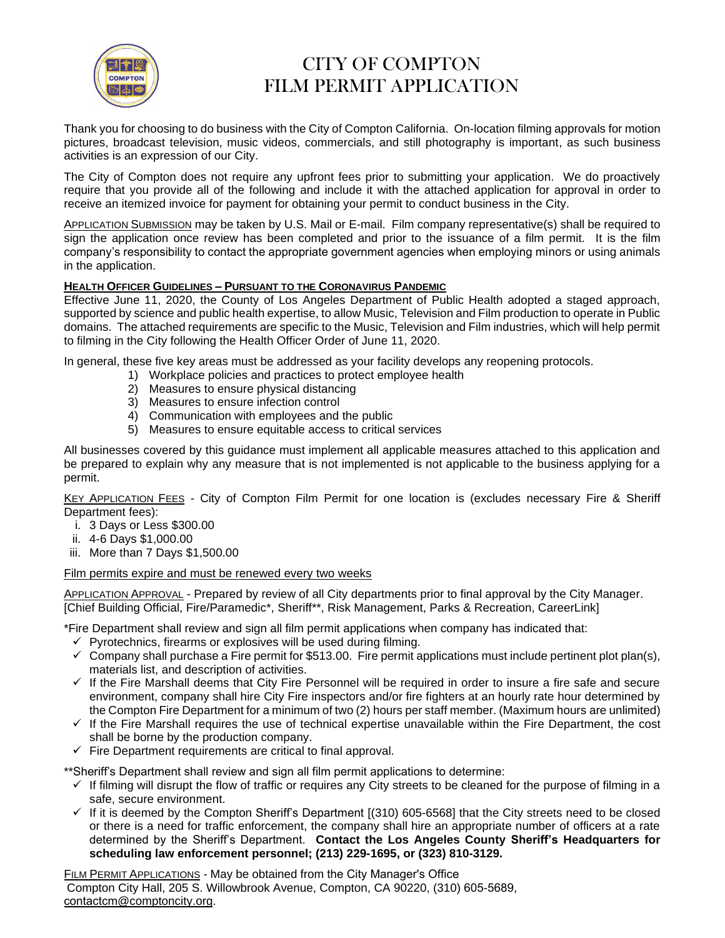

Thank you for choosing to do business with the City of Compton California. On-location filming approvals for motion pictures, broadcast television, music videos, commercials, and still photography is important, as such business activities is an expression of our City.

The City of Compton does not require any upfront fees prior to submitting your application. We do proactively require that you provide all of the following and include it with the attached application for approval in order to receive an itemized invoice for payment for obtaining your permit to conduct business in the City.

APPLICATION SUBMISSION may be taken by U.S. Mail or E-mail. Film company representative(s) shall be required to sign the application once review has been completed and prior to the issuance of a film permit. It is the film company's responsibility to contact the appropriate government agencies when employing minors or using animals in the application.

#### **HEALTH OFFICER GUIDELINES – PURSUANT TO THE CORONAVIRUS PANDEMIC**

Effective June 11, 2020, the County of Los Angeles Department of Public Health adopted a staged approach, supported by science and public health expertise, to allow Music, Television and Film production to operate in Public domains. The attached requirements are specific to the Music, Television and Film industries, which will help permit to filming in the City following the Health Officer Order of June 11, 2020.

In general, these five key areas must be addressed as your facility develops any reopening protocols.

- 1) Workplace policies and practices to protect employee health
- 2) Measures to ensure physical distancing
- 3) Measures to ensure infection control
- 4) Communication with employees and the public
- 5) Measures to ensure equitable access to critical services

All businesses covered by this guidance must implement all applicable measures attached to this application and be prepared to explain why any measure that is not implemented is not applicable to the business applying for a permit.

KEY APPLICATION FEES - City of Compton Film Permit for one location is (excludes necessary Fire & Sheriff Department fees):

- i. 3 Days or Less \$300.00
- ii. 4-6 Days \$1,000.00
- iii. More than 7 Days \$1,500.00

#### Film permits expire and must be renewed every two weeks

APPLICATION APPROVAL - Prepared by review of all City departments prior to final approval by the City Manager. [Chief Building Official, Fire/Paramedic\*, Sheriff\*\*, Risk Management, Parks & Recreation, CareerLink]

\*Fire Department shall review and sign all film permit applications when company has indicated that:

- $\checkmark$  Pyrotechnics, firearms or explosives will be used during filming.
- $\checkmark$  Company shall purchase a Fire permit for \$513.00. Fire permit applications must include pertinent plot plan(s), materials list, and description of activities.
- ✓ If the Fire Marshall deems that City Fire Personnel will be required in order to insure a fire safe and secure environment, company shall hire City Fire inspectors and/or fire fighters at an hourly rate hour determined by the Compton Fire Department for a minimum of two (2) hours per staff member. (Maximum hours are unlimited)
- ✓ If the Fire Marshall requires the use of technical expertise unavailable within the Fire Department, the cost shall be borne by the production company.
- $\checkmark$  Fire Department requirements are critical to final approval.

\*\*Sheriff's Department shall review and sign all film permit applications to determine:

- ✓ If filming will disrupt the flow of traffic or requires any City streets to be cleaned for the purpose of filming in a safe, secure environment.
- $\checkmark$  If it is deemed by the Compton Sheriff's Department [(310) 605-6568] that the City streets need to be closed or there is a need for traffic enforcement, the company shall hire an appropriate number of officers at a rate determined by the Sheriff's Department. **Contact the Los Angeles County Sheriff's Headquarters for scheduling law enforcement personnel; (213) 229-1695, or (323) 810-3129.**

FILM PERMIT APPLICATIONS - May be obtained from the City Manager's Office Compton City Hall, 205 S. Willowbrook Avenue, Compton, CA 90220, (310) 605-[5689](mailto:dljones@comptoncity.org), contactcm@comptoncity.org.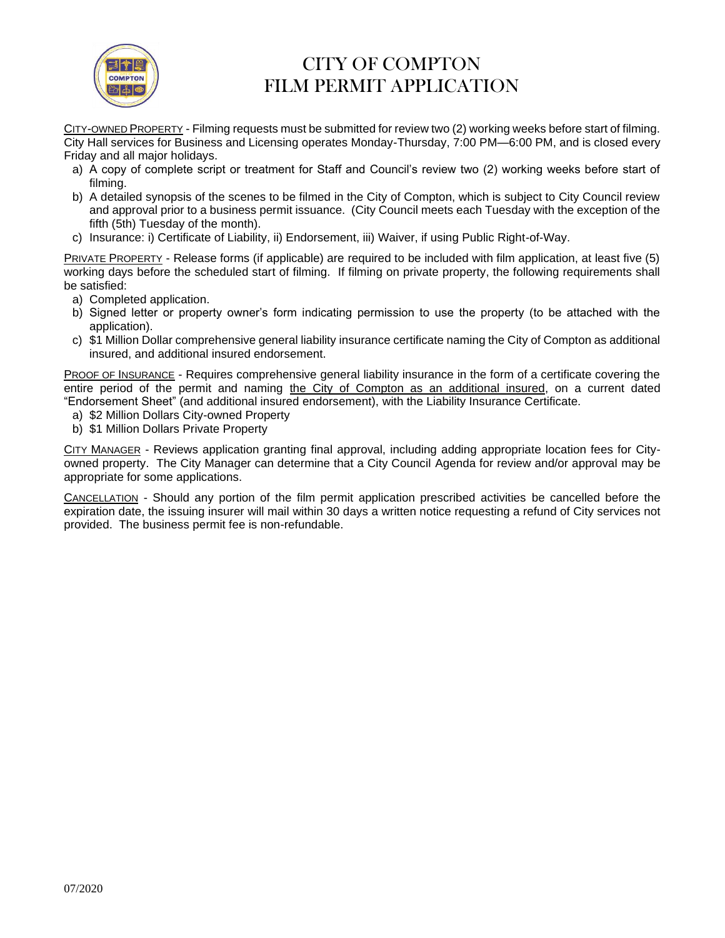

CITY-OWNED PROPERTY - Filming requests must be submitted for review two (2) working weeks before start of filming. City Hall services for Business and Licensing operates Monday-Thursday, 7:00 PM—6:00 PM, and is closed every Friday and all major holidays.

- a) A copy of complete script or treatment for Staff and Council's review two (2) working weeks before start of filming.
- b) A detailed synopsis of the scenes to be filmed in the City of Compton, which is subject to City Council review and approval prior to a business permit issuance. (City Council meets each Tuesday with the exception of the fifth (5th) Tuesday of the month).
- c) Insurance: i) Certificate of Liability, ii) Endorsement, iii) Waiver, if using Public Right-of-Way.

PRIVATE PROPERTY - Release forms (if applicable) are required to be included with film application, at least five (5) working days before the scheduled start of filming. If filming on private property, the following requirements shall be satisfied:

- a) Completed application.
- b) Signed letter or property owner's form indicating permission to use the property (to be attached with the application).
- c) \$1 Million Dollar comprehensive general liability insurance certificate naming the City of Compton as additional insured, and additional insured endorsement.

PROOF OF INSURANCE - Requires comprehensive general liability insurance in the form of a certificate covering the entire period of the permit and naming the City of Compton as an additional insured, on a current dated "Endorsement Sheet" (and additional insured endorsement), with the Liability Insurance Certificate.

- a) \$2 Million Dollars City-owned Property
- b) \$1 Million Dollars Private Property

CITY MANAGER - Reviews application granting final approval, including adding appropriate location fees for Cityowned property. The City Manager can determine that a City Council Agenda for review and/or approval may be appropriate for some applications.

CANCELLATION - Should any portion of the film permit application prescribed activities be cancelled before the expiration date, the issuing insurer will mail within 30 days a written notice requesting a refund of City services not provided. The business permit fee is non-refundable.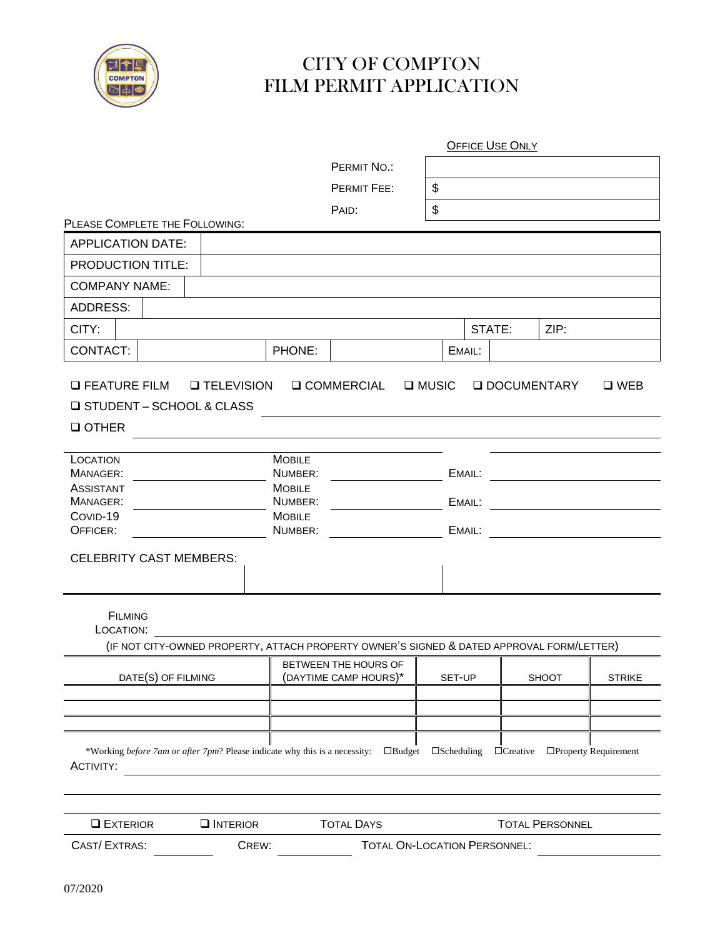

|                                                                                                |                                                                                           |                                                                                  |                       |                      | <b>OFFICE USE ONLY</b>     |                        |                       |
|------------------------------------------------------------------------------------------------|-------------------------------------------------------------------------------------------|----------------------------------------------------------------------------------|-----------------------|----------------------|----------------------------|------------------------|-----------------------|
|                                                                                                |                                                                                           |                                                                                  | PERMIT NO.:           |                      |                            |                        |                       |
|                                                                                                |                                                                                           |                                                                                  | PERMIT FEE:           | \$                   |                            |                        |                       |
|                                                                                                |                                                                                           |                                                                                  | PAID:                 | \$                   |                            |                        |                       |
| PLEASE COMPLETE THE FOLLOWING:                                                                 |                                                                                           |                                                                                  |                       |                      |                            |                        |                       |
| <b>APPLICATION DATE:</b>                                                                       |                                                                                           |                                                                                  |                       |                      |                            |                        |                       |
| PRODUCTION TITLE:                                                                              |                                                                                           |                                                                                  |                       |                      |                            |                        |                       |
| <b>COMPANY NAME:</b>                                                                           |                                                                                           |                                                                                  |                       |                      |                            |                        |                       |
| <b>ADDRESS:</b>                                                                                |                                                                                           |                                                                                  |                       |                      |                            |                        |                       |
| CITY:                                                                                          |                                                                                           |                                                                                  |                       |                      | STATE:                     | ZIP:                   |                       |
| CONTACT:                                                                                       |                                                                                           | PHONE:                                                                           |                       |                      | EMAIL:                     |                        |                       |
| <b>Q FEATURE FILM</b><br><b>Q STUDENT - SCHOOL &amp; CLASS</b><br><b>Q OTHER</b>               | <b>Q TELEVISION</b>                                                                       |                                                                                  | <b>Q COMMERCIAL</b>   | <b>Q</b> MUSIC       |                            | <b>Q DOCUMENTARY</b>   | $\square$ WEB         |
| LOCATION<br>MANAGER:<br><b>ASSISTANT</b><br>MANAGER:<br>COVID-19<br>OFFICER:                   |                                                                                           | <b>MOBILE</b><br>NUMBER:<br><b>MOBILE</b><br>NUMBER:<br><b>MOBILE</b><br>NUMBER: |                       |                      | EMAIL:<br>EMAIL:<br>EMAIL: |                        |                       |
| <b>CELEBRITY CAST MEMBERS:</b>                                                                 |                                                                                           |                                                                                  |                       |                      |                            |                        |                       |
| <b>FILMING</b><br>LOCATION:                                                                    | (IF NOT CITY-OWNED PROPERTY, ATTACH PROPERTY OWNER'S SIGNED & DATED APPROVAL FORM/LETTER) |                                                                                  |                       |                      |                            |                        |                       |
|                                                                                                |                                                                                           |                                                                                  | BETWEEN THE HOURS OF  |                      |                            |                        |                       |
| DATE(S) OF FILMING                                                                             |                                                                                           |                                                                                  | (DAYTIME CAMP HOURS)* | SET-UP               |                            | SHOOT                  | <b>STRIKE</b>         |
|                                                                                                |                                                                                           |                                                                                  |                       |                      |                            |                        |                       |
| *Working before 7am or after 7pm? Please indicate why this is a necessity:<br><b>ACTIVITY:</b> |                                                                                           |                                                                                  | $\Box$ Budget         | $\square$ Scheduling | $\Box$ Creative            |                        | □Property Requirement |
| <b>L</b> EXTERIOR                                                                              | $\Box$ INTERIOR                                                                           |                                                                                  | <b>TOTAL DAYS</b>     |                      |                            | <b>TOTAL PERSONNEL</b> |                       |
| CAST/EXTRAS:                                                                                   | TOTAL ON-LOCATION PERSONNEL:<br>CREW:                                                     |                                                                                  |                       |                      |                            |                        |                       |

l,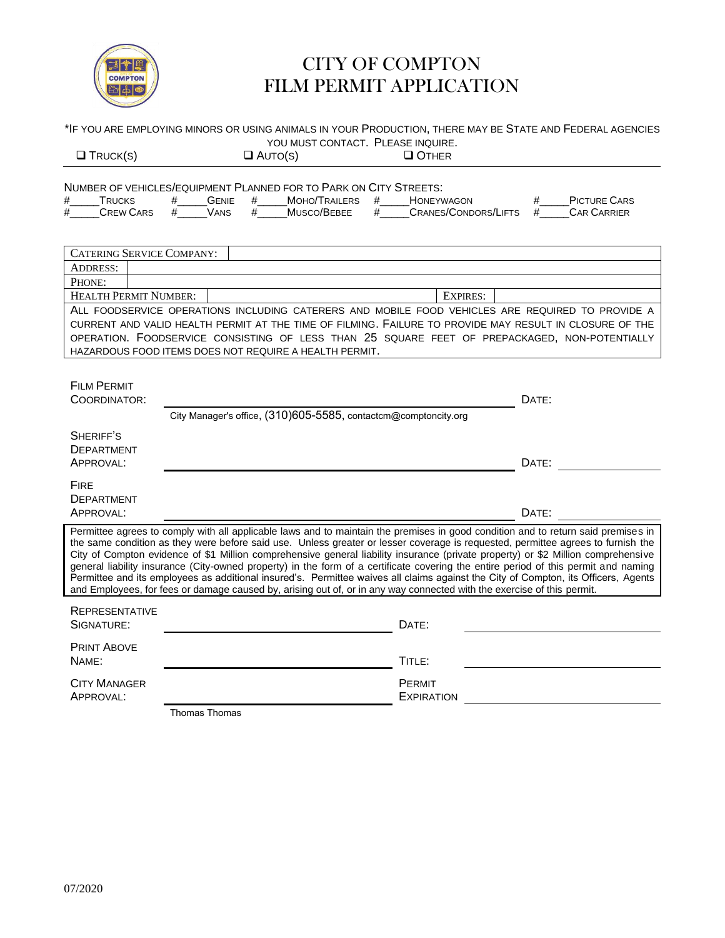

|                                                                                                                                                                                                                                                                                                                                                                                                                           | *IF YOU ARE EMPLOYING MINORS OR USING ANIMALS IN YOUR PRODUCTION, THERE MAY BE STATE AND FEDERAL AGENCIES<br>YOU MUST CONTACT. PLEASE INQUIRE.                                                                                                                                                                                                                                                                                                                                                                                                                                                                                                                                                                                                                                                                    |                                                                  |  |  |  |  |  |
|---------------------------------------------------------------------------------------------------------------------------------------------------------------------------------------------------------------------------------------------------------------------------------------------------------------------------------------------------------------------------------------------------------------------------|-------------------------------------------------------------------------------------------------------------------------------------------------------------------------------------------------------------------------------------------------------------------------------------------------------------------------------------------------------------------------------------------------------------------------------------------------------------------------------------------------------------------------------------------------------------------------------------------------------------------------------------------------------------------------------------------------------------------------------------------------------------------------------------------------------------------|------------------------------------------------------------------|--|--|--|--|--|
| $\Box$ TRUCK(S)                                                                                                                                                                                                                                                                                                                                                                                                           | $\Box$ AUTO(S)<br><b>Q OTHER</b>                                                                                                                                                                                                                                                                                                                                                                                                                                                                                                                                                                                                                                                                                                                                                                                  |                                                                  |  |  |  |  |  |
| #<br><b>TRUCKS</b><br>$\#$<br><b>CREW CARS</b>                                                                                                                                                                                                                                                                                                                                                                            | NUMBER OF VEHICLES/EQUIPMENT PLANNED FOR TO PARK ON CITY STREETS:<br><b>GENIE</b><br>MOHO/TRAILERS<br><b>HONEYWAGON</b><br>#<br>#<br>#<br># VANS<br>#<br>Musco/Bebee                                                                                                                                                                                                                                                                                                                                                                                                                                                                                                                                                                                                                                              | <b>PICTURE CARS</b><br>#<br># CRANES/CONDORS/LIFTS # CAR CARRIER |  |  |  |  |  |
| <b>CATERING SERVICE COMPANY:</b><br><b>ADDRESS:</b><br>PHONE:                                                                                                                                                                                                                                                                                                                                                             |                                                                                                                                                                                                                                                                                                                                                                                                                                                                                                                                                                                                                                                                                                                                                                                                                   |                                                                  |  |  |  |  |  |
| <b>HEALTH PERMIT NUMBER:</b><br><b>EXPIRES:</b><br>ALL FOODSERVICE OPERATIONS INCLUDING CATERERS AND MOBILE FOOD VEHICLES ARE REQUIRED TO PROVIDE A<br>CURRENT AND VALID HEALTH PERMIT AT THE TIME OF FILMING. FAILURE TO PROVIDE MAY RESULT IN CLOSURE OF THE<br>OPERATION. FOODSERVICE CONSISTING OF LESS THAN 25 SQUARE FEET OF PREPACKAGED, NON-POTENTIALLY<br>HAZARDOUS FOOD ITEMS DOES NOT REQUIRE A HEALTH PERMIT. |                                                                                                                                                                                                                                                                                                                                                                                                                                                                                                                                                                                                                                                                                                                                                                                                                   |                                                                  |  |  |  |  |  |
| <b>FILM PERMIT</b><br>COORDINATOR:                                                                                                                                                                                                                                                                                                                                                                                        | City Manager's office, (310)605-5585, contactcm@comptoncity.org                                                                                                                                                                                                                                                                                                                                                                                                                                                                                                                                                                                                                                                                                                                                                   | DATE:                                                            |  |  |  |  |  |
| SHERIFF'S<br>DEPARTMENT<br>APPROVAL:                                                                                                                                                                                                                                                                                                                                                                                      |                                                                                                                                                                                                                                                                                                                                                                                                                                                                                                                                                                                                                                                                                                                                                                                                                   | DATE:                                                            |  |  |  |  |  |
| <b>FIRE</b><br>DEPARTMENT<br>APPROVAL:                                                                                                                                                                                                                                                                                                                                                                                    |                                                                                                                                                                                                                                                                                                                                                                                                                                                                                                                                                                                                                                                                                                                                                                                                                   | DATE:                                                            |  |  |  |  |  |
|                                                                                                                                                                                                                                                                                                                                                                                                                           | Permittee agrees to comply with all applicable laws and to maintain the premises in good condition and to return said premises in<br>the same condition as they were before said use. Unless greater or lesser coverage is requested, permittee agrees to furnish the<br>City of Compton evidence of \$1 Million comprehensive general liability insurance (private property) or \$2 Million comprehensive<br>general liability insurance (City-owned property) in the form of a certificate covering the entire period of this permit and naming<br>Permittee and its employees as additional insured's. Permittee waives all claims against the City of Compton, its Officers, Agents<br>and Employees, for fees or damage caused by, arising out of, or in any way connected with the exercise of this permit. |                                                                  |  |  |  |  |  |
| <b>REPRESENTATIVE</b><br>SIGNATURE:                                                                                                                                                                                                                                                                                                                                                                                       | DATE:                                                                                                                                                                                                                                                                                                                                                                                                                                                                                                                                                                                                                                                                                                                                                                                                             |                                                                  |  |  |  |  |  |
| <b>PRINT ABOVE</b><br>NAME:                                                                                                                                                                                                                                                                                                                                                                                               | TITLE:                                                                                                                                                                                                                                                                                                                                                                                                                                                                                                                                                                                                                                                                                                                                                                                                            |                                                                  |  |  |  |  |  |
| <b>CITY MANAGER</b><br>APPROVAL:                                                                                                                                                                                                                                                                                                                                                                                          | PERMIT<br><b>EXPIRATION</b>                                                                                                                                                                                                                                                                                                                                                                                                                                                                                                                                                                                                                                                                                                                                                                                       |                                                                  |  |  |  |  |  |

Thomas Thomas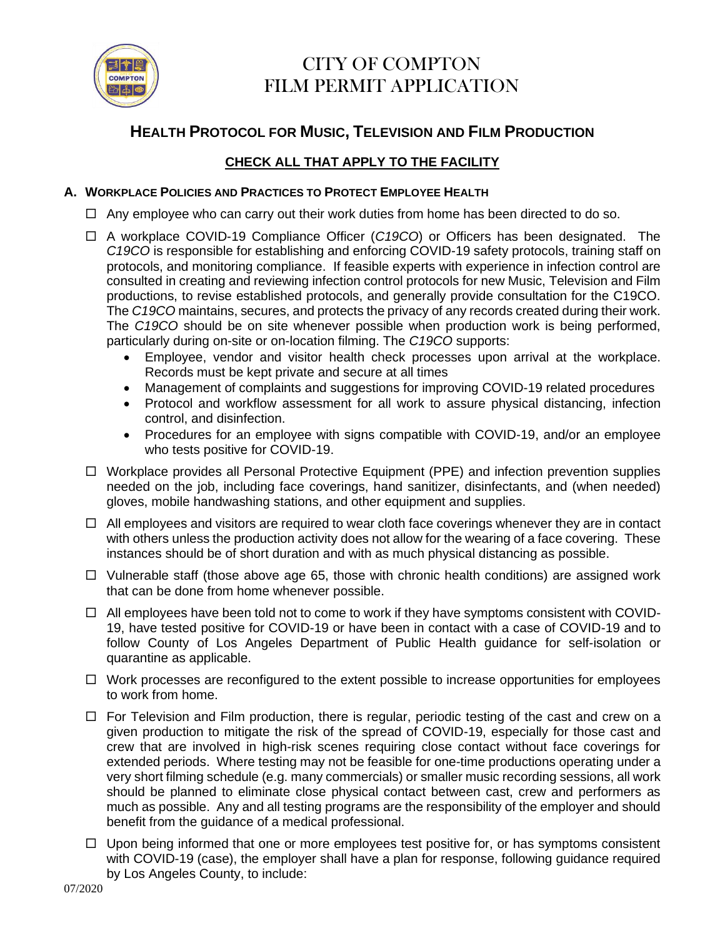

### **HEALTH PROTOCOL FOR MUSIC, TELEVISION AND FILM PRODUCTION**

### **CHECK ALL THAT APPLY TO THE FACILITY**

### **A. WORKPLACE POLICIES AND PRACTICES TO PROTECT EMPLOYEE HEALTH**

- $\Box$  Any employee who can carry out their work duties from home has been directed to do so.
- A workplace COVID-19 Compliance Officer (*C19CO*) or Officers has been designated. The *C19CO* is responsible for establishing and enforcing COVID-19 safety protocols, training staff on protocols, and monitoring compliance. If feasible experts with experience in infection control are consulted in creating and reviewing infection control protocols for new Music, Television and Film productions, to revise established protocols, and generally provide consultation for the C19CO. The *C19CO* maintains, secures, and protects the privacy of any records created during their work. The *C19CO* should be on site whenever possible when production work is being performed, particularly during on-site or on-location filming. The *C19CO* supports:
	- Employee, vendor and visitor health check processes upon arrival at the workplace. Records must be kept private and secure at all times
	- Management of complaints and suggestions for improving COVID-19 related procedures
	- Protocol and workflow assessment for all work to assure physical distancing, infection control, and disinfection.
	- Procedures for an employee with signs compatible with COVID-19, and/or an employee who tests positive for COVID-19.
- $\Box$  Workplace provides all Personal Protective Equipment (PPE) and infection prevention supplies needed on the job, including face coverings, hand sanitizer, disinfectants, and (when needed) gloves, mobile handwashing stations, and other equipment and supplies.
- $\Box$  All employees and visitors are required to wear cloth face coverings whenever they are in contact with others unless the production activity does not allow for the wearing of a face covering. These instances should be of short duration and with as much physical distancing as possible.
- $\Box$  Vulnerable staff (those above age 65, those with chronic health conditions) are assigned work that can be done from home whenever possible.
- $\Box$  All employees have been told not to come to work if they have symptoms consistent with COVID-19, have tested positive for COVID-19 or have been in contact with a case of COVID-19 and to follow County of Los Angeles Department of Public Health guidance for self-isolation or quarantine as applicable.
- $\Box$  Work processes are reconfigured to the extent possible to increase opportunities for employees to work from home.
- $\Box$  For Television and Film production, there is regular, periodic testing of the cast and crew on a given production to mitigate the risk of the spread of COVID-19, especially for those cast and crew that are involved in high-risk scenes requiring close contact without face coverings for extended periods. Where testing may not be feasible for one-time productions operating under a very short filming schedule (e.g. many commercials) or smaller music recording sessions, all work should be planned to eliminate close physical contact between cast, crew and performers as much as possible. Any and all testing programs are the responsibility of the employer and should benefit from the guidance of a medical professional.
- $\Box$  Upon being informed that one or more employees test positive for, or has symptoms consistent with COVID-19 (case), the employer shall have a plan for response, following guidance required by Los Angeles County, to include: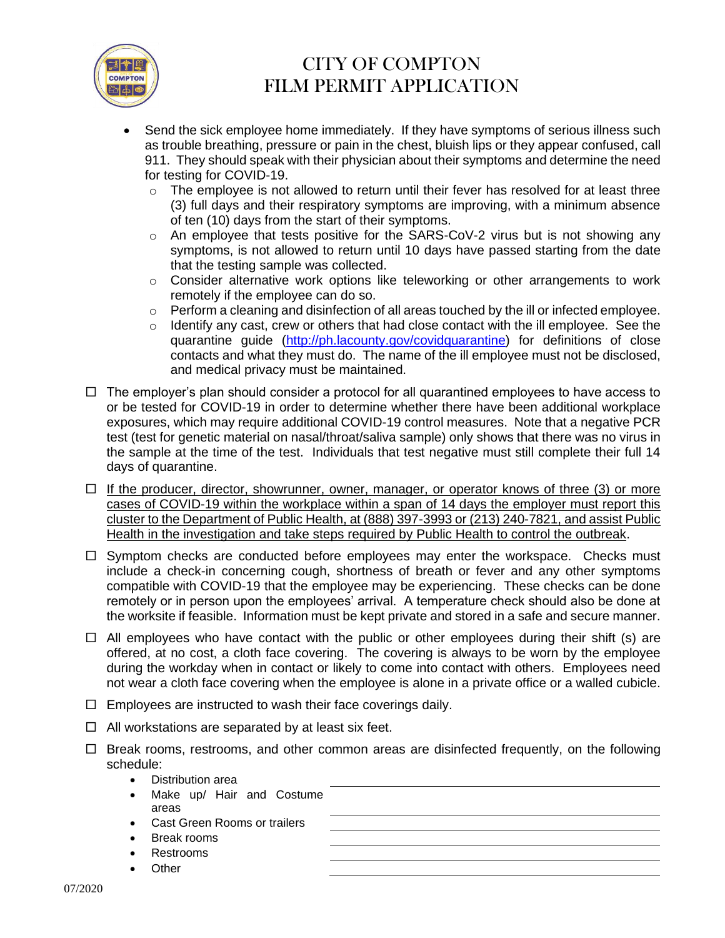

- Send the sick employee home immediately. If they have symptoms of serious illness such as trouble breathing, pressure or pain in the chest, bluish lips or they appear confused, call 911. They should speak with their physician about their symptoms and determine the need for testing for COVID-19.
	- $\circ$  The employee is not allowed to return until their fever has resolved for at least three (3) full days and their respiratory symptoms are improving, with a minimum absence of ten (10) days from the start of their symptoms.
	- o An employee that tests positive for the SARS-CoV-2 virus but is not showing any symptoms, is not allowed to return until 10 days have passed starting from the date that the testing sample was collected.
	- o Consider alternative work options like teleworking or other arrangements to work remotely if the employee can do so.
	- $\circ$  Perform a cleaning and disinfection of all areas touched by the ill or infected employee.
	- $\circ$  Identify any cast, crew or others that had close contact with the ill employee. See the quarantine guide [\(http://ph.lacounty.gov/covidquarantine\)](http://ph.lacounty.gov/covidquarantine) for definitions of close contacts and what they must do. The name of the ill employee must not be disclosed, and medical privacy must be maintained.
- $\Box$  The employer's plan should consider a protocol for all quarantined employees to have access to or be tested for COVID-19 in order to determine whether there have been additional workplace exposures, which may require additional COVID-19 control measures. Note that a negative PCR test (test for genetic material on nasal/throat/saliva sample) only shows that there was no virus in the sample at the time of the test. Individuals that test negative must still complete their full 14 days of quarantine.
- $\Box$  If the producer, director, showrunner, owner, manager, or operator knows of three (3) or more cases of COVID-19 within the workplace within a span of 14 days the employer must report this cluster to the Department of Public Health, at (888) 397-3993 or (213) 240-7821, and assist Public Health in the investigation and take steps required by Public Health to control the outbreak.
- $\Box$  Symptom checks are conducted before employees may enter the workspace. Checks must include a check-in concerning cough, shortness of breath or fever and any other symptoms compatible with COVID-19 that the employee may be experiencing. These checks can be done remotely or in person upon the employees' arrival. A temperature check should also be done at the worksite if feasible. Information must be kept private and stored in a safe and secure manner.
- $\Box$  All employees who have contact with the public or other employees during their shift (s) are offered, at no cost, a cloth face covering. The covering is always to be worn by the employee during the workday when in contact or likely to come into contact with others. Employees need not wear a cloth face covering when the employee is alone in a private office or a walled cubicle.
- $\Box$  Employees are instructed to wash their face coverings daily.
- $\Box$  All workstations are separated by at least six feet.
- $\Box$  Break rooms, restrooms, and other common areas are disinfected frequently, on the following schedule:
	- Distribution area
	- Make up/ Hair and Costume areas • Cast Green Rooms or trailers • Break rooms • Restrooms **Other**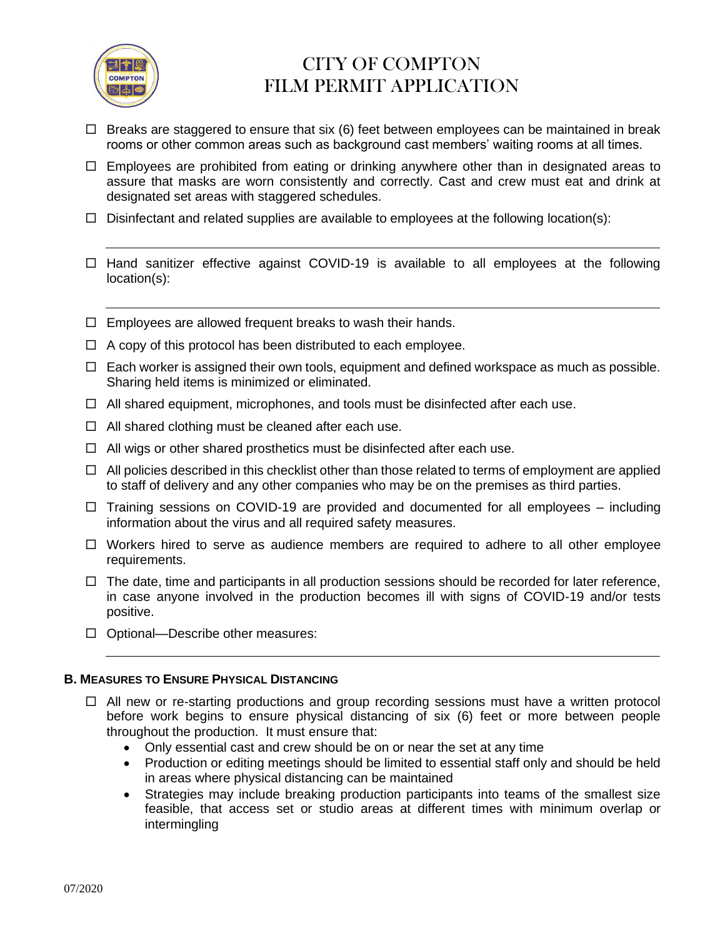

- $\Box$  Breaks are staggered to ensure that six (6) feet between employees can be maintained in break rooms or other common areas such as background cast members' waiting rooms at all times.
- $\Box$  Employees are prohibited from eating or drinking anywhere other than in designated areas to assure that masks are worn consistently and correctly. Cast and crew must eat and drink at designated set areas with staggered schedules.
- $\Box$  Disinfectant and related supplies are available to employees at the following location(s):
- $\Box$  Hand sanitizer effective against COVID-19 is available to all employees at the following location(s):
- $\Box$  Employees are allowed frequent breaks to wash their hands.
- $\Box$  A copy of this protocol has been distributed to each employee.
- $\Box$  Each worker is assigned their own tools, equipment and defined workspace as much as possible. Sharing held items is minimized or eliminated.
- $\Box$  All shared equipment, microphones, and tools must be disinfected after each use.
- $\Box$  All shared clothing must be cleaned after each use.
- $\Box$  All wigs or other shared prosthetics must be disinfected after each use.
- $\Box$  All policies described in this checklist other than those related to terms of employment are applied to staff of delivery and any other companies who may be on the premises as third parties.
- $\Box$  Training sessions on COVID-19 are provided and documented for all employees including information about the virus and all required safety measures.
- $\Box$  Workers hired to serve as audience members are required to adhere to all other employee requirements.
- $\Box$  The date, time and participants in all production sessions should be recorded for later reference, in case anyone involved in the production becomes ill with signs of COVID-19 and/or tests positive.
- $\Box$  Optional—Describe other measures:

#### **B. MEASURES TO ENSURE PHYSICAL DISTANCING**

- $\Box$  All new or re-starting productions and group recording sessions must have a written protocol before work begins to ensure physical distancing of six (6) feet or more between people throughout the production. It must ensure that:
	- Only essential cast and crew should be on or near the set at any time
	- Production or editing meetings should be limited to essential staff only and should be held in areas where physical distancing can be maintained
	- Strategies may include breaking production participants into teams of the smallest size feasible, that access set or studio areas at different times with minimum overlap or intermingling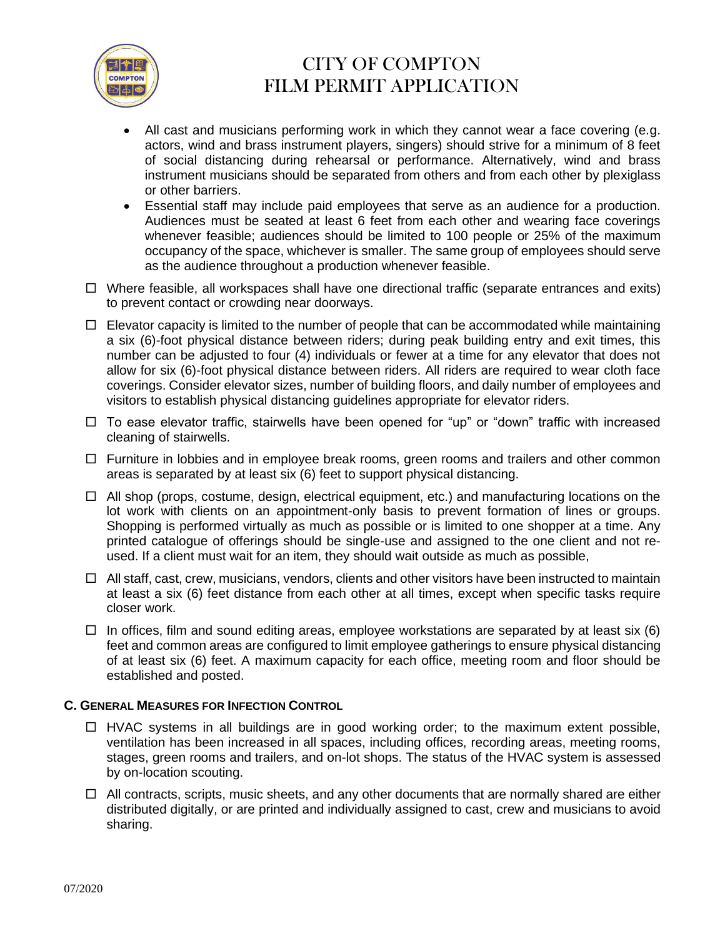

- All cast and musicians performing work in which they cannot wear a face covering (e.g. actors, wind and brass instrument players, singers) should strive for a minimum of 8 feet of social distancing during rehearsal or performance. Alternatively, wind and brass instrument musicians should be separated from others and from each other by plexiglass or other barriers.
- Essential staff may include paid employees that serve as an audience for a production. Audiences must be seated at least 6 feet from each other and wearing face coverings whenever feasible; audiences should be limited to 100 people or 25% of the maximum occupancy of the space, whichever is smaller. The same group of employees should serve as the audience throughout a production whenever feasible.
- $\Box$  Where feasible, all workspaces shall have one directional traffic (separate entrances and exits) to prevent contact or crowding near doorways.
- $\Box$  Elevator capacity is limited to the number of people that can be accommodated while maintaining a six (6)-foot physical distance between riders; during peak building entry and exit times, this number can be adjusted to four (4) individuals or fewer at a time for any elevator that does not allow for six (6)-foot physical distance between riders. All riders are required to wear cloth face coverings. Consider elevator sizes, number of building floors, and daily number of employees and visitors to establish physical distancing guidelines appropriate for elevator riders.
- $\Box$  To ease elevator traffic, stairwells have been opened for "up" or "down" traffic with increased cleaning of stairwells.
- $\Box$  Furniture in lobbies and in employee break rooms, green rooms and trailers and other common areas is separated by at least six (6) feet to support physical distancing.
- $\Box$  All shop (props, costume, design, electrical equipment, etc.) and manufacturing locations on the lot work with clients on an appointment-only basis to prevent formation of lines or groups. Shopping is performed virtually as much as possible or is limited to one shopper at a time. Any printed catalogue of offerings should be single-use and assigned to the one client and not reused. If a client must wait for an item, they should wait outside as much as possible,
- $\Box$  All staff, cast, crew, musicians, vendors, clients and other visitors have been instructed to maintain at least a six (6) feet distance from each other at all times, except when specific tasks require closer work.
- $\Box$  In offices, film and sound editing areas, employee workstations are separated by at least six (6) feet and common areas are configured to limit employee gatherings to ensure physical distancing of at least six (6) feet. A maximum capacity for each office, meeting room and floor should be established and posted.

### **C. GENERAL MEASURES FOR INFECTION CONTROL**

- $\Box$  HVAC systems in all buildings are in good working order; to the maximum extent possible, ventilation has been increased in all spaces, including offices, recording areas, meeting rooms, stages, green rooms and trailers, and on-lot shops. The status of the HVAC system is assessed by on-location scouting.
- $\Box$  All contracts, scripts, music sheets, and any other documents that are normally shared are either distributed digitally, or are printed and individually assigned to cast, crew and musicians to avoid sharing.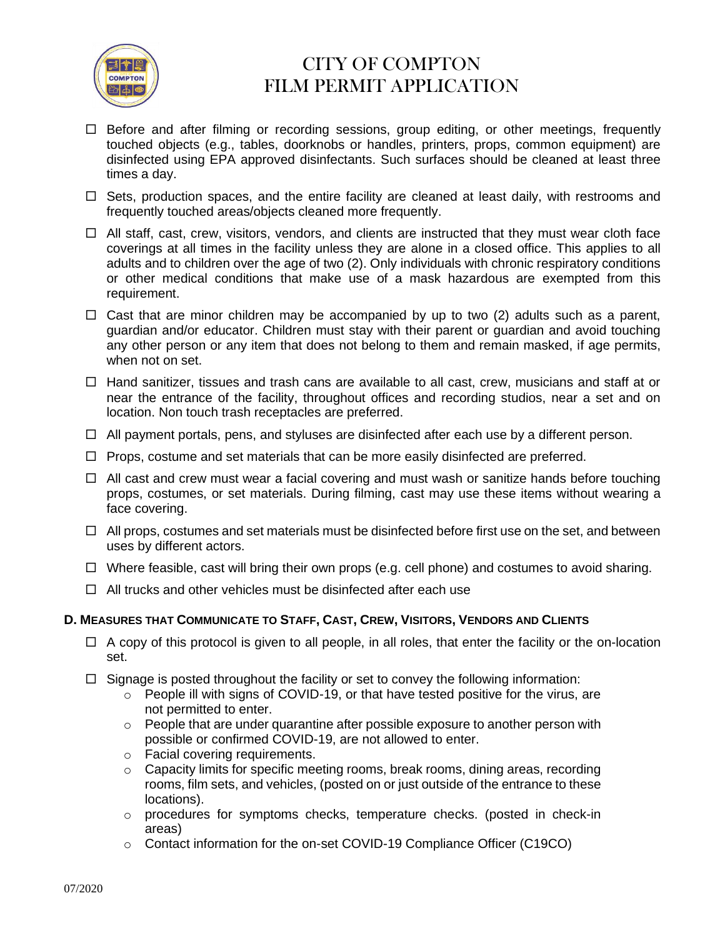

- $\Box$  Before and after filming or recording sessions, group editing, or other meetings, frequently touched objects (e.g., tables, doorknobs or handles, printers, props, common equipment) are disinfected using EPA approved disinfectants. Such surfaces should be cleaned at least three times a day.
- $\Box$  Sets, production spaces, and the entire facility are cleaned at least daily, with restrooms and frequently touched areas/objects cleaned more frequently.
- $\Box$  All staff, cast, crew, visitors, vendors, and clients are instructed that they must wear cloth face coverings at all times in the facility unless they are alone in a closed office. This applies to all adults and to children over the age of two (2). Only individuals with chronic respiratory conditions or other medical conditions that make use of a mask hazardous are exempted from this requirement.
- $\Box$  Cast that are minor children may be accompanied by up to two (2) adults such as a parent, guardian and/or educator. Children must stay with their parent or guardian and avoid touching any other person or any item that does not belong to them and remain masked, if age permits, when not on set.
- $\Box$  Hand sanitizer, tissues and trash cans are available to all cast, crew, musicians and staff at or near the entrance of the facility, throughout offices and recording studios, near a set and on location. Non touch trash receptacles are preferred.
- $\Box$  All payment portals, pens, and styluses are disinfected after each use by a different person.
- $\Box$  Props, costume and set materials that can be more easily disinfected are preferred.
- $\Box$  All cast and crew must wear a facial covering and must wash or sanitize hands before touching props, costumes, or set materials. During filming, cast may use these items without wearing a face covering.
- $\Box$  All props, costumes and set materials must be disinfected before first use on the set, and between uses by different actors.
- $\Box$  Where feasible, cast will bring their own props (e.g. cell phone) and costumes to avoid sharing.
- $\Box$  All trucks and other vehicles must be disinfected after each use

### D. MEASURES THAT COMMUNICATE TO STAFF, CAST, CREW, VISITORS, VENDORS AND CLIENTS

- $\Box$  A copy of this protocol is given to all people, in all roles, that enter the facility or the on-location set.
- $\Box$  Signage is posted throughout the facility or set to convey the following information:
	- $\circ$  People ill with signs of COVID-19, or that have tested positive for the virus, are not permitted to enter.
	- o People that are under quarantine after possible exposure to another person with possible or confirmed COVID-19, are not allowed to enter.
	- o Facial covering requirements.
	- o Capacity limits for specific meeting rooms, break rooms, dining areas, recording rooms, film sets, and vehicles, (posted on or just outside of the entrance to these locations).
	- o procedures for symptoms checks, temperature checks. (posted in check-in areas)
	- o Contact information for the on-set COVID-19 Compliance Officer (C19CO)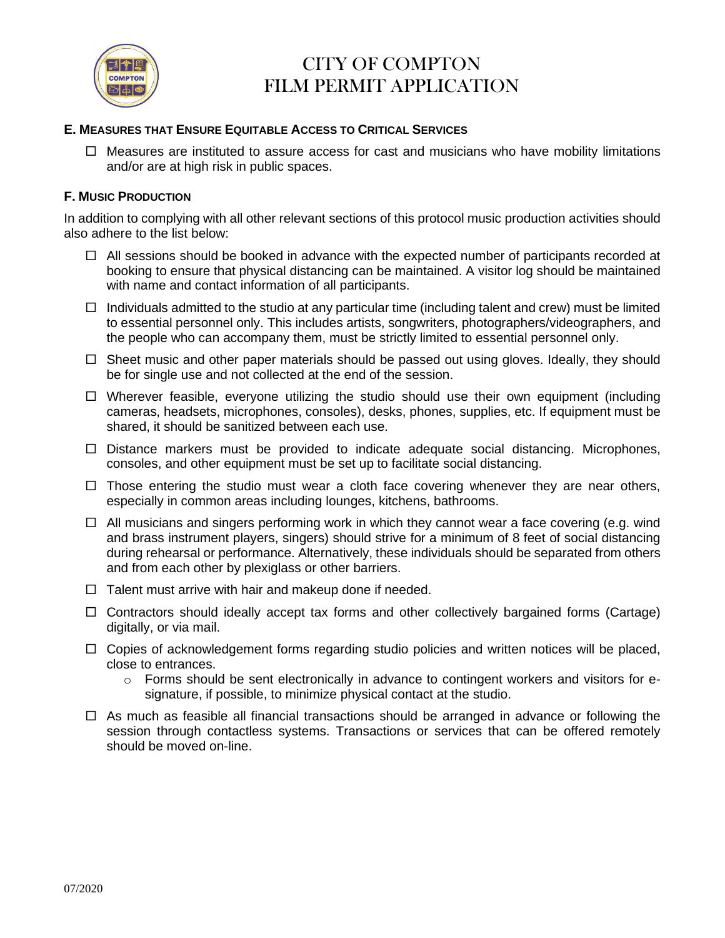

### **E. MEASURES THAT ENSURE EQUITABLE ACCESS TO CRITICAL SERVICES**

 $\Box$  Measures are instituted to assure access for cast and musicians who have mobility limitations and/or are at high risk in public spaces.

### **F. MUSIC PRODUCTION**

In addition to complying with all other relevant sections of this protocol music production activities should also adhere to the list below:

- $\Box$  All sessions should be booked in advance with the expected number of participants recorded at booking to ensure that physical distancing can be maintained. A visitor log should be maintained with name and contact information of all participants.
- $\Box$  Individuals admitted to the studio at any particular time (including talent and crew) must be limited to essential personnel only. This includes artists, songwriters, photographers/videographers, and the people who can accompany them, must be strictly limited to essential personnel only.
- $\Box$  Sheet music and other paper materials should be passed out using gloves. Ideally, they should be for single use and not collected at the end of the session.
- $\Box$  Wherever feasible, everyone utilizing the studio should use their own equipment (including cameras, headsets, microphones, consoles), desks, phones, supplies, etc. If equipment must be shared, it should be sanitized between each use.
- $\Box$  Distance markers must be provided to indicate adequate social distancing. Microphones, consoles, and other equipment must be set up to facilitate social distancing.
- $\Box$  Those entering the studio must wear a cloth face covering whenever they are near others, especially in common areas including lounges, kitchens, bathrooms.
- $\Box$  All musicians and singers performing work in which they cannot wear a face covering (e.g. wind and brass instrument players, singers) should strive for a minimum of 8 feet of social distancing during rehearsal or performance. Alternatively, these individuals should be separated from others and from each other by plexiglass or other barriers.
- $\Box$  Talent must arrive with hair and makeup done if needed.
- $\Box$  Contractors should ideally accept tax forms and other collectively bargained forms (Cartage) digitally, or via mail.
- $\Box$  Copies of acknowledgement forms regarding studio policies and written notices will be placed, close to entrances.
	- $\circ$  Forms should be sent electronically in advance to contingent workers and visitors for esignature, if possible, to minimize physical contact at the studio.
- $\Box$  As much as feasible all financial transactions should be arranged in advance or following the session through contactless systems. Transactions or services that can be offered remotely should be moved on-line.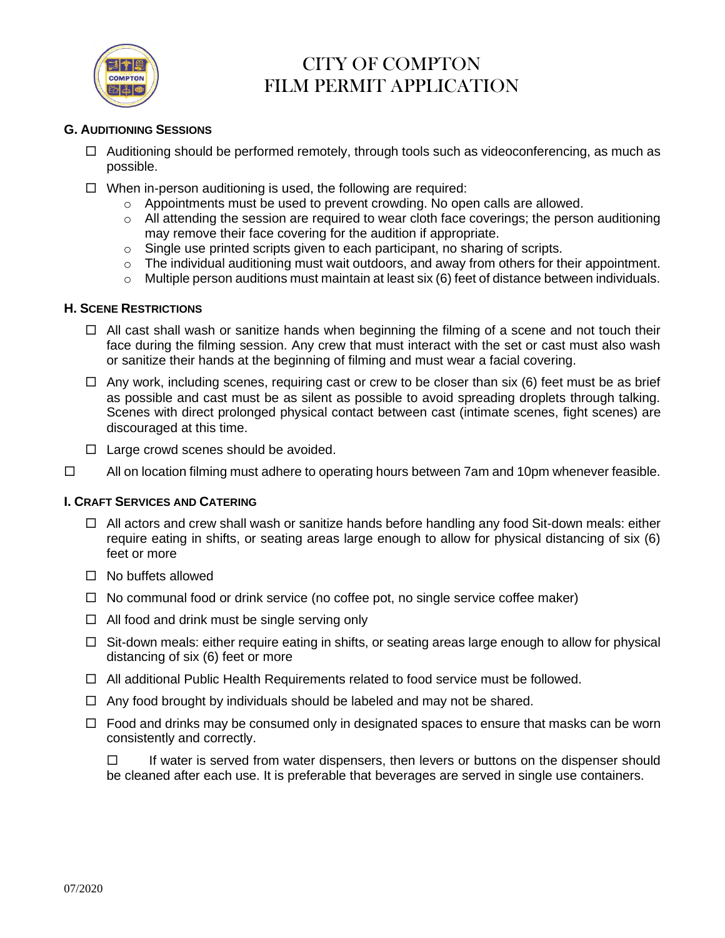

### **G. AUDITIONING SESSIONS**

- $\Box$  Auditioning should be performed remotely, through tools such as videoconferencing, as much as possible.
- $\Box$  When in-person auditioning is used, the following are required:
	- $\circ$  Appointments must be used to prevent crowding. No open calls are allowed.
	- o All attending the session are required to wear cloth face coverings; the person auditioning may remove their face covering for the audition if appropriate.
	- o Single use printed scripts given to each participant, no sharing of scripts.
	- $\circ$  The individual auditioning must wait outdoors, and away from others for their appointment.
	- $\circ$  Multiple person auditions must maintain at least six (6) feet of distance between individuals.

#### **H. SCENE RESTRICTIONS**

- $\Box$  All cast shall wash or sanitize hands when beginning the filming of a scene and not touch their face during the filming session. Any crew that must interact with the set or cast must also wash or sanitize their hands at the beginning of filming and must wear a facial covering.
- $\Box$  Any work, including scenes, requiring cast or crew to be closer than six (6) feet must be as brief as possible and cast must be as silent as possible to avoid spreading droplets through talking. Scenes with direct prolonged physical contact between cast (intimate scenes, fight scenes) are discouraged at this time.
- $\Box$  Large crowd scenes should be avoided.
- $\Box$  All on location filming must adhere to operating hours between 7am and 10pm whenever feasible.

### **I. CRAFT SERVICES AND CATERING**

- $\Box$  All actors and crew shall wash or sanitize hands before handling any food Sit-down meals: either require eating in shifts, or seating areas large enough to allow for physical distancing of six (6) feet or more
- $\Box$  No buffets allowed
- $\Box$  No communal food or drink service (no coffee pot, no single service coffee maker)
- $\Box$  All food and drink must be single serving only
- $\Box$  Sit-down meals: either require eating in shifts, or seating areas large enough to allow for physical distancing of six (6) feet or more
- $\Box$  All additional Public Health Requirements related to food service must be followed.
- $\Box$  Any food brought by individuals should be labeled and may not be shared.
- $\Box$  Food and drinks may be consumed only in designated spaces to ensure that masks can be worn consistently and correctly.
	- $\Box$  If water is served from water dispensers, then levers or buttons on the dispenser should be cleaned after each use. It is preferable that beverages are served in single use containers.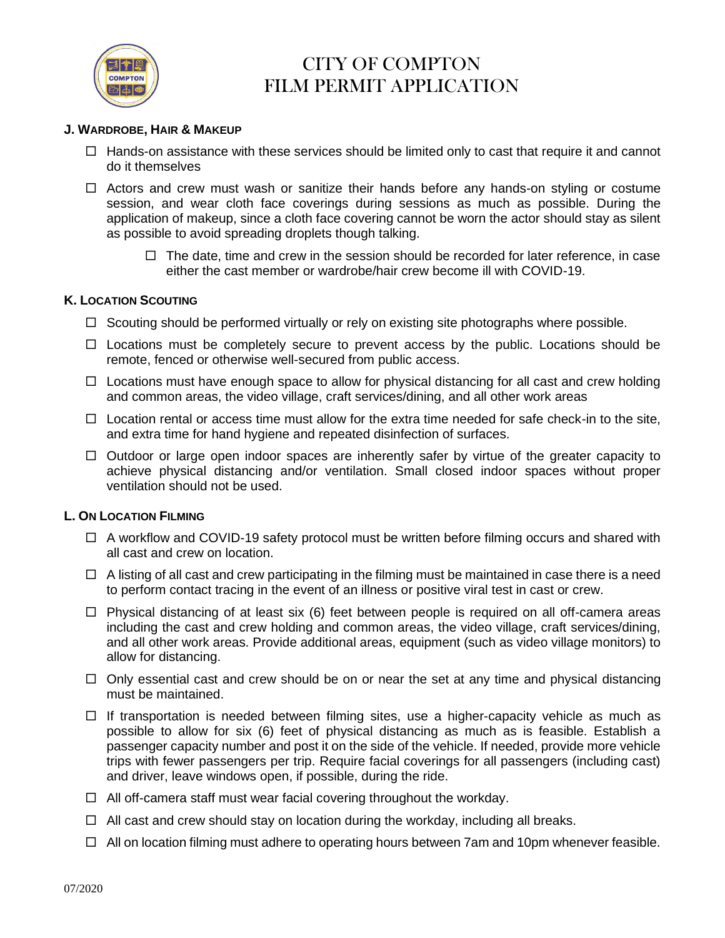

#### **J. WARDROBE, HAIR & MAKEUP**

- $\Box$  Hands-on assistance with these services should be limited only to cast that require it and cannot do it themselves
- $\Box$  Actors and crew must wash or sanitize their hands before any hands-on styling or costume session, and wear cloth face coverings during sessions as much as possible. During the application of makeup, since a cloth face covering cannot be worn the actor should stay as silent as possible to avoid spreading droplets though talking.
	- $\Box$  The date, time and crew in the session should be recorded for later reference, in case either the cast member or wardrobe/hair crew become ill with COVID-19.

#### **K. LOCATION SCOUTING**

- $\Box$  Scouting should be performed virtually or rely on existing site photographs where possible.
- $\Box$  Locations must be completely secure to prevent access by the public. Locations should be remote, fenced or otherwise well-secured from public access.
- $\Box$  Locations must have enough space to allow for physical distancing for all cast and crew holding and common areas, the video village, craft services/dining, and all other work areas
- $\Box$  Location rental or access time must allow for the extra time needed for safe check-in to the site, and extra time for hand hygiene and repeated disinfection of surfaces.
- $\Box$  Outdoor or large open indoor spaces are inherently safer by virtue of the greater capacity to achieve physical distancing and/or ventilation. Small closed indoor spaces without proper ventilation should not be used.

### **L. ON LOCATION FILMING**

- $\Box$  A workflow and COVID-19 safety protocol must be written before filming occurs and shared with all cast and crew on location.
- $\Box$  A listing of all cast and crew participating in the filming must be maintained in case there is a need to perform contact tracing in the event of an illness or positive viral test in cast or crew.
- $\Box$  Physical distancing of at least six (6) feet between people is required on all off-camera areas including the cast and crew holding and common areas, the video village, craft services/dining, and all other work areas. Provide additional areas, equipment (such as video village monitors) to allow for distancing.
- $\Box$  Only essential cast and crew should be on or near the set at any time and physical distancing must be maintained.
- $\Box$  If transportation is needed between filming sites, use a higher-capacity vehicle as much as possible to allow for six (6) feet of physical distancing as much as is feasible. Establish a passenger capacity number and post it on the side of the vehicle. If needed, provide more vehicle trips with fewer passengers per trip. Require facial coverings for all passengers (including cast) and driver, leave windows open, if possible, during the ride.
- $\Box$  All off-camera staff must wear facial covering throughout the workday.
- $\Box$  All cast and crew should stay on location during the workday, including all breaks.
- $\Box$  All on location filming must adhere to operating hours between 7am and 10pm whenever feasible.